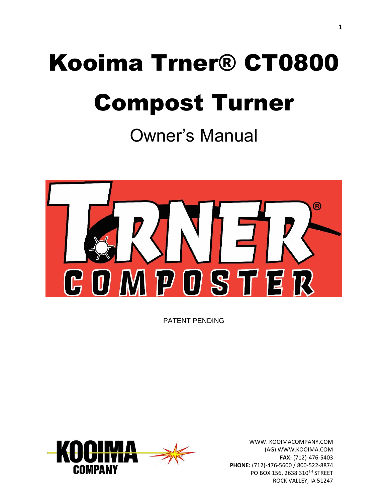# Kooima Trner® CT0800 Compost Turner

Owner's Manual



PATENT PENDING

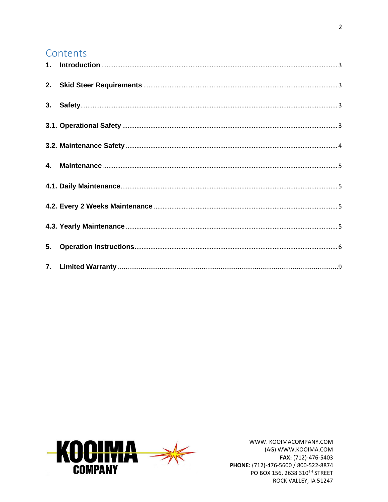#### Contents

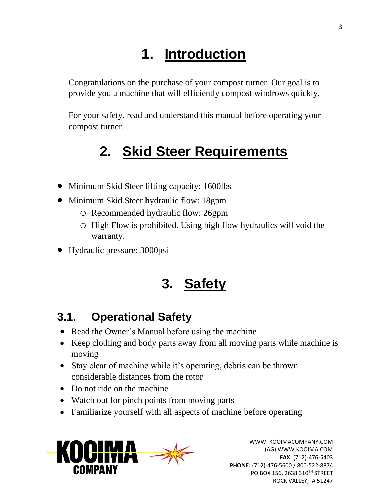# **1. Introduction**

<span id="page-2-0"></span>Congratulations on the purchase of your compost turner. Our goal is to provide you a machine that will efficiently compost windrows quickly.

For your safety, read and understand this manual before operating your compost turner.

## **2. Skid Steer Requirements**

- <span id="page-2-1"></span>• Minimum Skid Steer lifting capacity: 1600lbs
- Minimum Skid Steer hydraulic flow: 18gpm
	- o Recommended hydraulic flow: 26gpm
	- o High Flow is prohibited. Using high flow hydraulics will void the warranty.
- <span id="page-2-2"></span>• Hydraulic pressure: 3000psi

## **3. Safety**

#### <span id="page-2-3"></span>**3.1. Operational Safety**

- Read the Owner's Manual before using the machine
- Keep clothing and body parts away from all moving parts while machine is moving
- Stay clear of machine while it's operating, debris can be thrown considerable distances from the rotor
- Do not ride on the machine
- Watch out for pinch points from moving parts
- Familiarize yourself with all aspects of machine before operating

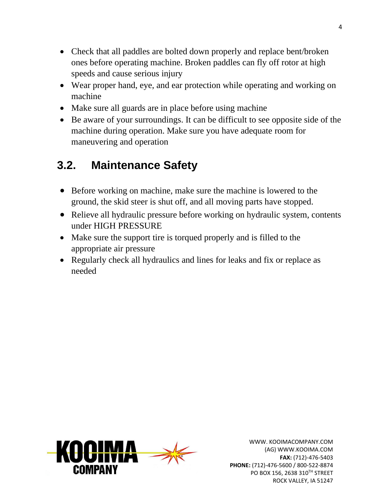- Check that all paddles are bolted down properly and replace bent/broken ones before operating machine. Broken paddles can fly off rotor at high speeds and cause serious injury
- Wear proper hand, eye, and ear protection while operating and working on machine
- Make sure all guards are in place before using machine
- Be aware of your surroundings. It can be difficult to see opposite side of the machine during operation. Make sure you have adequate room for maneuvering and operation

### <span id="page-3-0"></span>**3.2. Maintenance Safety**

- Before working on machine, make sure the machine is lowered to the ground, the skid steer is shut off, and all moving parts have stopped.
- Relieve all hydraulic pressure before working on hydraulic system, contents under HIGH PRESSURE
- Make sure the support tire is torqued properly and is filled to the appropriate air pressure
- Regularly check all hydraulics and lines for leaks and fix or replace as needed

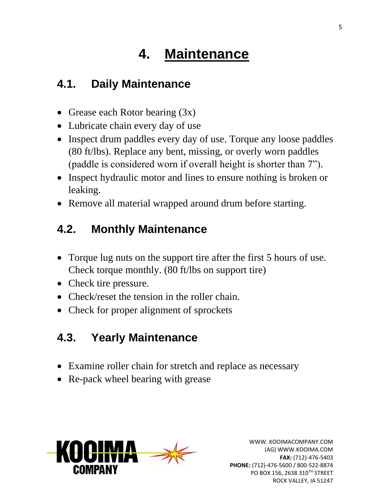# <span id="page-4-0"></span>**4. Maintenance**

#### <span id="page-4-1"></span>**4.1. Daily Maintenance**

- Grease each Rotor bearing  $(3x)$
- Lubricate chain every day of use
- Inspect drum paddles every day of use. Torque any loose paddles (80 ft/lbs). Replace any bent, missing, or overly worn paddles (paddle is considered worn if overall height is shorter than 7").
- Inspect hydraulic motor and lines to ensure nothing is broken or leaking.
- Remove all material wrapped around drum before starting.

## <span id="page-4-2"></span>**4.2. Monthly Maintenance**

- Torque lug nuts on the support tire after the first 5 hours of use. Check torque monthly. (80 ft/lbs on support tire)
- Check tire pressure.
- Check/reset the tension in the roller chain.
- Check for proper alignment of sprockets

### <span id="page-4-3"></span>**4.3. Yearly Maintenance**

- Examine roller chain for stretch and replace as necessary
- Re-pack wheel bearing with grease

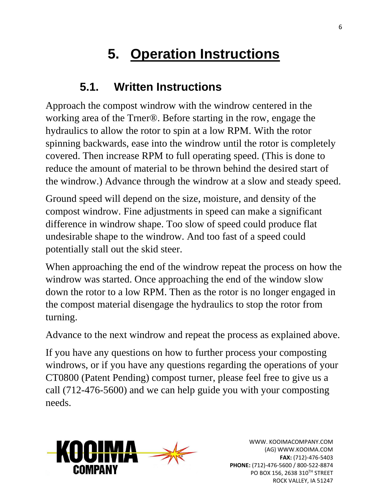# **5. Operation Instructions**

#### <span id="page-5-0"></span>**5.1. Written Instructions**

Approach the compost windrow with the windrow centered in the working area of the Trner®. Before starting in the row, engage the hydraulics to allow the rotor to spin at a low RPM. With the rotor spinning backwards, ease into the windrow until the rotor is completely covered. Then increase RPM to full operating speed. (This is done to reduce the amount of material to be thrown behind the desired start of the windrow.) Advance through the windrow at a slow and steady speed.

Ground speed will depend on the size, moisture, and density of the compost windrow. Fine adjustments in speed can make a significant difference in windrow shape. Too slow of speed could produce flat undesirable shape to the windrow. And too fast of a speed could potentially stall out the skid steer.

When approaching the end of the windrow repeat the process on how the windrow was started. Once approaching the end of the window slow down the rotor to a low RPM. Then as the rotor is no longer engaged in the compost material disengage the hydraulics to stop the rotor from turning.

Advance to the next windrow and repeat the process as explained above.

If you have any questions on how to further process your composting windrows, or if you have any questions regarding the operations of your CT0800 (Patent Pending) compost turner, please feel free to give us a call (712-476-5600) and we can help guide you with your composting needs.

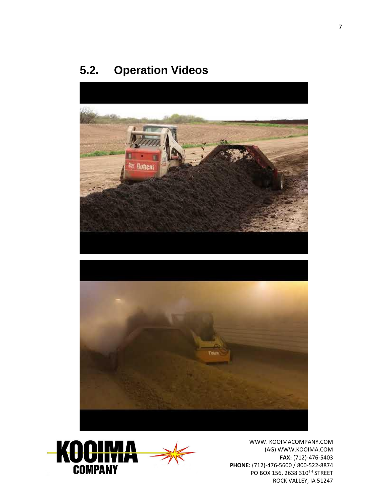#### **5.2. Operation Videos**



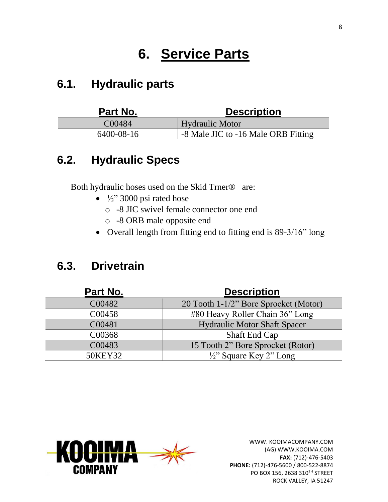## **6. Service Parts**

#### **6.1. Hydraulic parts**

| Part No.   | <b>Description</b>                  |
|------------|-------------------------------------|
| C00484     | <b>Hydraulic Motor</b>              |
| 6400-08-16 | -8 Male JIC to -16 Male ORB Fitting |

#### **6.2. Hydraulic Specs**

Both hydraulic hoses used on the Skid Trner® are:

- $\frac{1}{2}$ " 3000 psi rated hose
	- o -8 JIC swivel female connector one end
	- o -8 ORB male opposite end
- Overall length from fitting end to fitting end is 89-3/16" long

#### **6.3. Drivetrain**

| Part No. | <b>Description</b>                    |
|----------|---------------------------------------|
| C00482   | 20 Tooth 1-1/2" Bore Sprocket (Motor) |
| C00458   | #80 Heavy Roller Chain 36" Long       |
| C00481   | <b>Hydraulic Motor Shaft Spacer</b>   |
| C00368   | Shaft End Cap                         |
| C00483   | 15 Tooth 2" Bore Sprocket (Rotor)     |
| 50KEY32  | $\frac{1}{2}$ " Square Key 2" Long    |